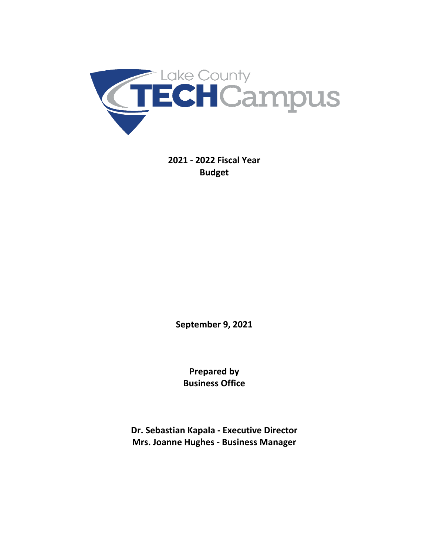

**2021 - 2022 Fiscal Year Budget** 

**September 9, 2021**

**Prepared by Business Office**

**Dr. Sebastian Kapala - Executive Director Mrs. Joanne Hughes - Business Manager**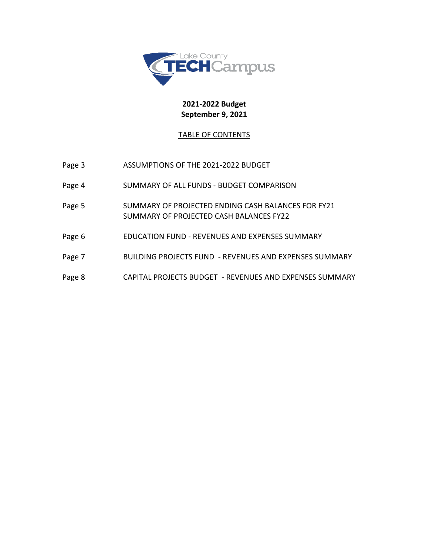

# **2021-2022 Budget September 9, 2021**

# TABLE OF CONTENTS

| Page 3 | ASSUMPTIONS OF THE 2021-2022 BUDGET                                                           |
|--------|-----------------------------------------------------------------------------------------------|
| Page 4 | SUMMARY OF ALL FUNDS - BUDGET COMPARISON                                                      |
| Page 5 | SUMMARY OF PROJECTED ENDING CASH BALANCES FOR FY21<br>SUMMARY OF PROJECTED CASH BALANCES FY22 |
| Page 6 | EDUCATION FUND - REVENUES AND EXPENSES SUMMARY                                                |
| Page 7 | <b>BUILDING PROJECTS FUND - REVENUES AND EXPENSES SUMMARY</b>                                 |
| Page 8 | CAPITAL PROJECTS BUDGET - REVENUES AND EXPENSES SUMMARY                                       |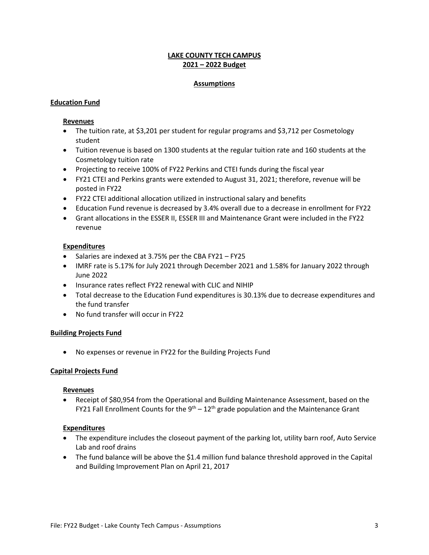## **LAKE COUNTY TECH CAMPUS 2021 – 2022 Budget**

## **Assumptions**

## **Education Fund**

### **Revenues**

- The tuition rate, at \$3,201 per student for regular programs and \$3,712 per Cosmetology student
- Tuition revenue is based on 1300 students at the regular tuition rate and 160 students at the Cosmetology tuition rate
- Projecting to receive 100% of FY22 Perkins and CTEI funds during the fiscal year
- FY21 CTEI and Perkins grants were extended to August 31, 2021; therefore, revenue will be posted in FY22
- FY22 CTEI additional allocation utilized in instructional salary and benefits
- Education Fund revenue is decreased by 3.4% overall due to a decrease in enrollment for FY22
- Grant allocations in the ESSER II, ESSER III and Maintenance Grant were included in the FY22 revenue

## **Expenditures**

- Salaries are indexed at 3.75% per the CBA FY21 FY25
- IMRF rate is 5.17% for July 2021 through December 2021 and 1.58% for January 2022 through June 2022
- Insurance rates reflect FY22 renewal with CLIC and NIHIP
- Total decrease to the Education Fund expenditures is 30.13% due to decrease expenditures and the fund transfer
- No fund transfer will occur in FY22

## **Building Projects Fund**

• No expenses or revenue in FY22 for the Building Projects Fund

## **Capital Projects Fund**

#### **Revenues**

• Receipt of \$80,954 from the Operational and Building Maintenance Assessment, based on the FY21 Fall Enrollment Counts for the  $9<sup>th</sup> - 12<sup>th</sup>$  grade population and the Maintenance Grant

#### **Expenditures**

- The expenditure includes the closeout payment of the parking lot, utility barn roof, Auto Service Lab and roof drains
- The fund balance will be above the \$1.4 million fund balance threshold approved in the Capital and Building Improvement Plan on April 21, 2017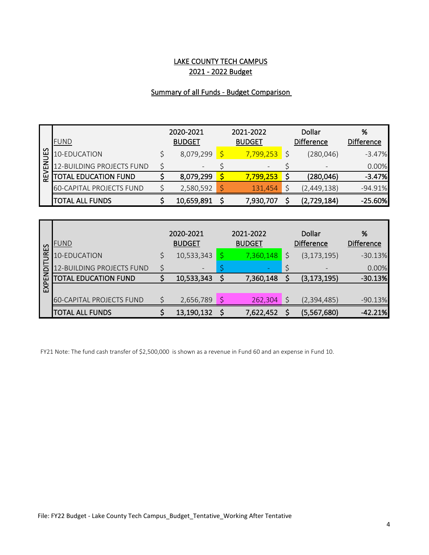# LAKE COUNTY TECH CAMPUS 2021 - 2022 Budget

# Summary of all Funds - Budget Comparison

|             | <b>FUND</b>                     | 2020-2021<br><b>BUDGET</b> |            |  | 2021-2022<br><b>BUDGET</b> | Dollar<br><b>Difference</b>  | %<br>Difference |
|-------------|---------------------------------|----------------------------|------------|--|----------------------------|------------------------------|-----------------|
| UES         | 10-EDUCATION                    |                            | 8,079,299  |  | 7,799,253                  | (280, 046)                   | $-3.47%$        |
| 롭           | 12-BUILDING PROJECTS FUND       |                            |            |  |                            | $\qquad \qquad \blacksquare$ | 0.00%           |
| <b>REVI</b> | TOTAL EDUCATION FUND            |                            | 8,079,299  |  | 7,799,253                  | (280, 046)                   | $-3.47%$        |
|             | <b>60-CAPITAL PROJECTS FUND</b> |                            | 2,580,592  |  | 131,454                    | (2,449,138)                  | $-94.91%$       |
|             | <b>TOTAL ALL FUNDS</b>          |                            | 10,659,891 |  | 7,930,707                  | (2,729,184)                  | $-25.60%$       |

| 53             | <b>FUND</b>                     | 2020-2021<br><b>BUDGET</b> | 2021-2022<br><b>BUDGET</b> | Dollar<br><b>Difference</b> | %<br><b>Difference</b> |
|----------------|---------------------------------|----------------------------|----------------------------|-----------------------------|------------------------|
| $\mathfrak{g}$ | 10-EDUCATION                    | 10,533,343                 | 7,360,148                  | (3, 173, 195)               | $-30.13%$              |
| E              | .2-BUILDING PROJECTS FUND       |                            |                            |                             | 0.00%                  |
|                | <b>TOTAL EDUCATION FUND</b>     | 10,533,343                 | 7,360,148                  | (3, 173, 195)               | $-30.13%$              |
| EXPEI          |                                 |                            |                            |                             |                        |
|                | <b>60-CAPITAL PROJECTS FUND</b> | 2,656,789                  | 262,304                    | (2,394,485)                 | $-90.13%$              |
|                | <b>TOTAL ALL FUNDS</b>          | 13,190,132                 | 7,622,452                  | (5,567,680)                 | $-42.21%$              |

FY21 Note: The fund cash transfer of \$2,500,000 is shown as a revenue in Fund 60 and an expense in Fund 10.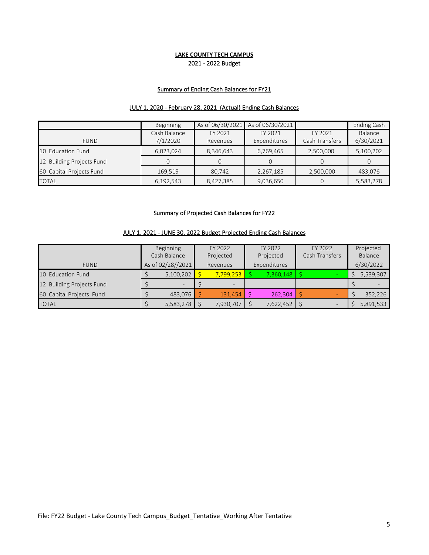## 2021 - 2022 Budget **LAKE COUNTY TECH CAMPUS**

## Summary of Ending Cash Balances for FY21

## JULY 1, 2020 - February 28, 2021 (Actual) Ending Cash Balances

|                           | Beginning                | As of 06/30/2021    | As of 06/30/2021        |                           | Ending Cash          |
|---------------------------|--------------------------|---------------------|-------------------------|---------------------------|----------------------|
| <b>FUND</b>               | Cash Balance<br>7/1/2020 | FY 2021<br>Revenues | FY 2021<br>Expenditures | FY 2021<br>Cash Transfers | Balance<br>6/30/2021 |
| 10 Education Fund         | 6,023,024                | 8,346,643           | 6,769,465               | 2,500,000                 | 5,100,202            |
| 12 Building Projects Fund |                          | 0                   |                         |                           | 0                    |
| 60 Capital Projects Fund  | 169,519                  | 80.742              | 2,267,185               | 2,500,000                 | 483,076              |
| <b>TOTAL</b>              | 6,192,543                | 8,427,385           | 9,036,650               | $\Omega$                  | 5,583,278            |

#### Summary of Projected Cash Balances for FY22

## JULY 1, 2021 - JUNE 30, 2022 Budget Projected Ending Cash Balances

|                           | Beginning    |                   |  | FY 2022                  |  | FY 2022       | FY 2022        |  | Projected |
|---------------------------|--------------|-------------------|--|--------------------------|--|---------------|----------------|--|-----------|
|                           | Cash Balance |                   |  | Projected                |  | Projected     | Cash Transfers |  | Balance   |
| <b>FUND</b>               |              | As of 02/28//2021 |  | Revenues                 |  | Expenditures  |                |  | 6/30/2022 |
| 10 Education Fund         |              | 5,100,202         |  | 7,799,253                |  | $7,360,148$ S |                |  | 5,539,307 |
| 12 Building Projects Fund |              |                   |  | $\overline{\phantom{a}}$ |  |               |                |  |           |
| 60 Capital Projects Fund  |              | 483.076           |  | $131.454$   \$           |  | 262,304       |                |  | 352,226   |
| <b>TOTAL</b>              |              | 5,583,278         |  | 7,930,707                |  | 7,622,452     |                |  | 5,891,533 |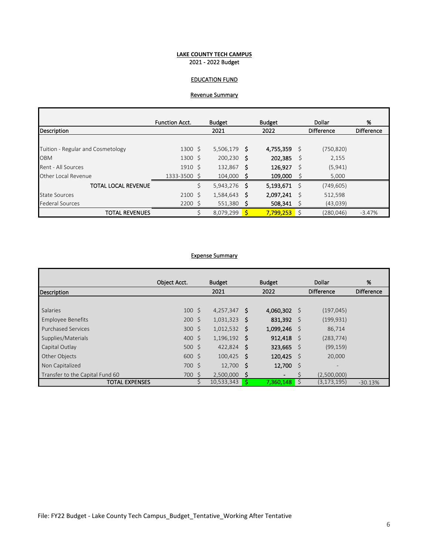#### **LAKE COUNTY TECH CAMPUS** 2021 - 2022 Budget

## EDUCATION FUND

## Revenue Summary

|                                   | <b>Function Acct.</b> |    | <b>Budget</b> |    | <b>Budget</b> | Dollar |                   | %                 |
|-----------------------------------|-----------------------|----|---------------|----|---------------|--------|-------------------|-------------------|
| Description                       |                       |    | 2021          |    | 2022          |        | <b>Difference</b> | <b>Difference</b> |
|                                   |                       |    |               |    |               |        |                   |                   |
| Tuition - Regular and Cosmetology | $1300 \,$ \$          |    | 5,506,179     | S  | 4,755,359     | - S    | (750, 820)        |                   |
| <b>OBM</b>                        | $1300 \text{ }$       |    | 200,230       | S  | 202,385       | - \$   | 2,155             |                   |
| Rent - All Sources                | $1910 \text{ }$       |    | 132,867       | -S | 126,927       | - S    | (5, 941)          |                   |
| Other Local Revenue               | 1333-3500 \$          |    | 104,000       | s  | 109,000       |        | 5,000             |                   |
| <b>TOTAL LOCAL REVENUE</b>        |                       | \$ | 5,943,276     | S  | 5,193,671     | - \$   | (749, 605)        |                   |
| <b>State Sources</b>              | 2100S                 |    | 1,584,643     | S  | 2,097,241     | - S    | 512,598           |                   |
| <b>Federal Sources</b>            | $2200$ \$             |    | 551,380       |    | 508,341       |        | (43,039)          |                   |
| <b>TOTAL REVENUES</b>             |                       |    | 8,079,299     | S  | 7,799,253     | -S     | (280,046)         | $-3.47%$          |

#### Expense Summary

|                                 | Object Acct.            | <b>Budget</b>  |      | <b>Budget</b><br>Dollar   |     |                   | %         |
|---------------------------------|-------------------------|----------------|------|---------------------------|-----|-------------------|-----------|
| Description                     |                         | 2021           |      | 2022<br><b>Difference</b> |     | <b>Difference</b> |           |
|                                 |                         |                |      |                           |     |                   |           |
| <b>Salaries</b>                 | $100 \,$ \$             | 4,257,347      | -S   | 4,060,302                 | - S | (197, 045)        |           |
| Employee Benefits               | $200 \text{ } \text{S}$ | 1,031,323      | .S   | 831,392                   | - S | (199, 931)        |           |
| <b>Purchased Services</b>       | $300 \div$              | $1,012,532$ \$ |      | 1,099,246                 | - S | 86,714            |           |
| Supplies/Materials              | $400 \text{ }$          | $1,196,192$ \$ |      | 912,418                   | - S | (283, 774)        |           |
| Capital Outlay                  | 500S                    | 422,824 \$     |      | 323,665                   | - S | (99, 159)         |           |
| Other Objects                   | $600 \text{ }$          | $100,425$ \$   |      | 120,425                   | - S | 20,000            |           |
| Non Capitalized                 | 700 \$                  | 12,700         | - \$ | 12,700                    | - S | -                 |           |
| Transfer to the Capital Fund 60 | 700 \$                  | 2,500,000      | Ŝ    | $\overline{\phantom{a}}$  |     | (2,500,000)       |           |
| <b>TOTAL EXPENSES</b>           |                         | 10,533,343     | S    | $7,360,148$ \$            |     | (3, 173, 195)     | $-30.13%$ |

ń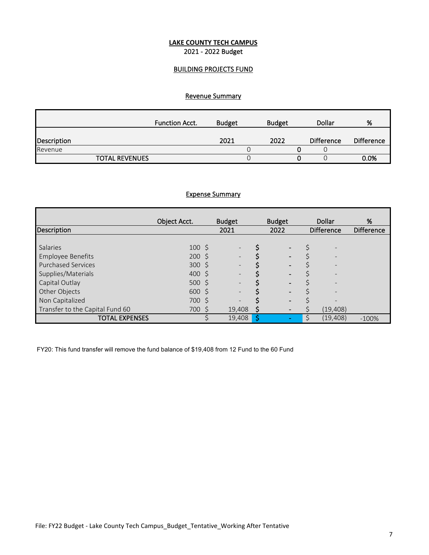## **LAKE COUNTY TECH CAMPUS** 2021 - 2022 Budget

## BUILDING PROJECTS FUND

# Revenue Summary

|             | <b>Function Acct.</b> | <b>Budget</b> | <b>Budget</b> | Dollar            | %                 |
|-------------|-----------------------|---------------|---------------|-------------------|-------------------|
| Description |                       | 2021          | 2022          | <b>Difference</b> | <b>Difference</b> |
| Revenue     |                       |               |               |                   |                   |
|             | <b>TOTAL REVENUES</b> |               |               |                   | 0.0%              |

#### Expense Summary

|                                 | Object Acct.    | <b>Budget</b>            | <b>Budget</b>                |                   | Dollar                   | %                 |
|---------------------------------|-----------------|--------------------------|------------------------------|-------------------|--------------------------|-------------------|
| Description                     |                 | 2021                     | 2022                         | <b>Difference</b> |                          | <b>Difference</b> |
|                                 |                 |                          |                              |                   |                          |                   |
| Salaries                        | $100 \; \simeq$ |                          | $\qquad \qquad \blacksquare$ |                   |                          |                   |
| <b>Employee Benefits</b>        | $200 \; \zeta$  | $\overline{\phantom{a}}$ | $\qquad \qquad \blacksquare$ |                   |                          |                   |
| <b>Purchased Services</b>       | $300 \; \zeta$  | $\overline{\phantom{0}}$ | $\overline{\phantom{a}}$     |                   |                          |                   |
| Supplies/Materials              | $400 \; \simeq$ |                          | $\overline{\phantom{0}}$     |                   |                          |                   |
| Capital Outlay                  | 500 \$          |                          | $\overline{\phantom{0}}$     |                   |                          |                   |
| Other Objects                   | $600 \;$ \$     | $\overline{\phantom{a}}$ | $\qquad \qquad \blacksquare$ |                   | $\overline{\phantom{0}}$ |                   |
| Non Capitalized                 | $700 \; \zeta$  | $\overline{\phantom{0}}$ | $\overline{\phantom{0}}$     |                   |                          |                   |
| Transfer to the Capital Fund 60 | $700 \; \zeta$  | 19,408                   | $\overline{\phantom{a}}$     |                   | (19, 408)                |                   |
| <b>TOTAL EXPENSES</b>           |                 | 19,408                   | \$<br>$\blacksquare$         | \$                | (19, 408)                | $-100%$           |

FY20: This fund transfer will remove the fund balance of \$19,408 from 12 Fund to the 60 Fund